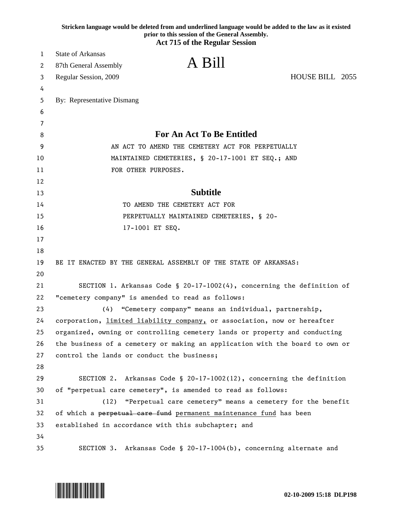|    | Stricken language would be deleted from and underlined language would be added to the law as it existed<br>prior to this session of the General Assembly.<br><b>Act 715 of the Regular Session</b> |
|----|----------------------------------------------------------------------------------------------------------------------------------------------------------------------------------------------------|
| 1  | <b>State of Arkansas</b>                                                                                                                                                                           |
| 2  | A Bill<br>87th General Assembly                                                                                                                                                                    |
| 3  | HOUSE BILL 2055<br>Regular Session, 2009                                                                                                                                                           |
| 4  |                                                                                                                                                                                                    |
| 5  | By: Representative Dismang                                                                                                                                                                         |
| 6  |                                                                                                                                                                                                    |
| 7  |                                                                                                                                                                                                    |
| 8  | <b>For An Act To Be Entitled</b>                                                                                                                                                                   |
| 9  | AN ACT TO AMEND THE CEMETERY ACT FOR PERPETUALLY                                                                                                                                                   |
| 10 | MAINTAINED CEMETERIES, § 20-17-1001 ET SEQ.; AND                                                                                                                                                   |
| 11 | FOR OTHER PURPOSES.                                                                                                                                                                                |
| 12 |                                                                                                                                                                                                    |
| 13 | <b>Subtitle</b>                                                                                                                                                                                    |
| 14 | TO AMEND THE CEMETERY ACT FOR                                                                                                                                                                      |
| 15 | PERPETUALLY MAINTAINED CEMETERIES, § 20-                                                                                                                                                           |
| 16 | 17-1001 ET SEQ.                                                                                                                                                                                    |
| 17 |                                                                                                                                                                                                    |
| 18 |                                                                                                                                                                                                    |
| 19 | BE IT ENACTED BY THE GENERAL ASSEMBLY OF THE STATE OF ARKANSAS:                                                                                                                                    |
| 20 |                                                                                                                                                                                                    |
| 21 | SECTION 1. Arkansas Code § 20-17-1002(4), concerning the definition of                                                                                                                             |
| 22 | "cemetery company" is amended to read as follows:                                                                                                                                                  |
| 23 | "Cemetery company" means an individual, partnership,<br>(4)                                                                                                                                        |
| 24 | corporation, limited liability company, or association, now or hereafter                                                                                                                           |
| 25 | organized, owning or controlling cemetery lands or property and conducting                                                                                                                         |
| 26 | the business of a cemetery or making an application with the board to own or                                                                                                                       |
| 27 | control the lands or conduct the business;                                                                                                                                                         |
| 28 |                                                                                                                                                                                                    |
| 29 | SECTION 2. Arkansas Code § 20-17-1002(12), concerning the definition                                                                                                                               |
| 30 | of "perpetual care cemetery", is amended to read as follows:                                                                                                                                       |
| 31 | "Perpetual care cemetery" means a cemetery for the benefit<br>(12)                                                                                                                                 |
| 32 | of which a perpetual care fund permanent maintenance fund has been                                                                                                                                 |
| 33 | established in accordance with this subchapter; and                                                                                                                                                |
| 34 |                                                                                                                                                                                                    |
| 35 | SECTION 3. Arkansas Code § 20-17-1004(b), concerning alternate and                                                                                                                                 |

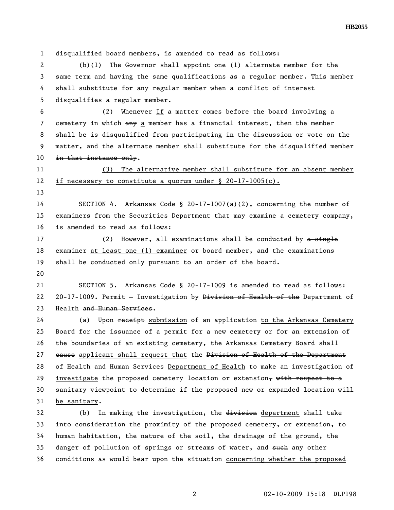**HB2055** 

1 disqualified board members, is amended to read as follows: 2 (b)(1) The Governor shall appoint one (1) alternate member for the 3 same term and having the same qualifications as a regular member. This member 4 shall substitute for any regular member when a conflict of interest 5 disqualifies a regular member. 6 (2) Whenever If a matter comes before the board involving a 7 cemetery in which any a member has a financial interest, then the member 8 shall be is disqualified from participating in the discussion or vote on the 9 matter, and the alternate member shall substitute for the disqualified member 10 in that instance only. 11 (3) The alternative member shall substitute for an absent member 12 if necessary to constitute a quorum under § 20-17-1005(c). 13 14 SECTION 4. Arkansas Code § 20-17-1007(a)(2), concerning the number of 15 examiners from the Securities Department that may examine a cemetery company, 16 is amended to read as follows: 17 (2) However, all examinations shall be conducted by a single 18 examiner at least one (1) examiner or board member, and the examinations 19 shall be conducted only pursuant to an order of the board. 20 21 SECTION 5. Arkansas Code § 20-17-1009 is amended to read as follows: 22 20-17-1009. Permit - Investigation by Division of Health of the Department of 23 Health and Human Services. 24 (a) Upon receipt submission of an application to the Arkansas Cemetery 25 Board for the issuance of a permit for a new cemetery or for an extension of 26 the boundaries of an existing cemetery, the Arkansas Cemetery Board shall 27 cause applicant shall request that the Division of Health of the Department 28 of Health and Human Services Department of Health to make an investigation of 29 investigate the proposed cemetery location or extension, with respect to a 30 sanitary viewpoint to determine if the proposed new or expanded location will 31 be sanitary. 32 (b) In making the investigation, the division department shall take 33 into consideration the proximity of the proposed cemetery $<sub>\tau</sub>$  or extension $<sub>\tau</sub>$  to</sub></sub> 34 human habitation, the nature of the soil, the drainage of the ground, the 35 danger of pollution of springs or streams of water, and such any other

36 conditions as would bear upon the situation concerning whether the proposed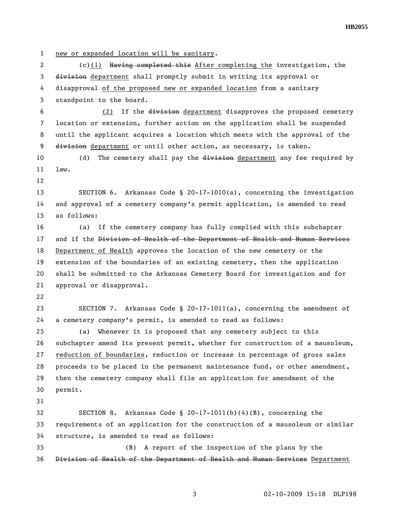1 new or expanded location will be sanitary.

2 (c)(1) Having completed this After completing the investigation, the 3 division department shall promptly submit in writing its approval or 4 disapproval of the proposed new or expanded location from a sanitary 5 standpoint to the board.

6 (2) If the division department disapproves the proposed cemetery 7 location or extension, further action on the application shall be suspended 8 until the applicant acquires a location which meets with the approval of the 9 division department or until other action, as necessary, is taken.

10 (d) The cemetery shall pay the division department any fee required by 11 law.

12

13 SECTION 6. Arkansas Code § 20-17-1010(a), concerning the investigation 14 and approval of a cemetery company's permit application, is amended to read 15 as follows:

16 (a) If the cemetery company has fully complied with this subchapter 17 and if the Division of Health of the Department of Health and Human Services 18 Department of Health approves the location of the new cemetery or the 19 extension of the boundaries of an existing cemetery, then the application 20 shall be submitted to the Arkansas Cemetery Board for investigation and for 21 approval or disapproval.

22

23 SECTION 7. Arkansas Code § 20-17-1011(a), concerning the amendment of 24 a cemetery company's permit, is amended to read as follows:

25 (a) Whenever it is proposed that any cemetery subject to this 26 subchapter amend its present permit, whether for construction of a mausoleum, 27 reduction of boundaries, reduction or increase in percentage of gross sales 28 proceeds to be placed in the permanent maintenance fund, or other amendment, 29 then the cemetery company shall file an application for amendment of the 30 permit.

31

32 SECTION 8. Arkansas Code § 20-17-1011(b)(4)(B), concerning the 33 requirements of an application for the construction of a mausoleum or similar 34 structure, is amended to read as follows:

35 (B) A report of the inspection of the plans by the 36 Division of Health of the Department of Health and Human Services Department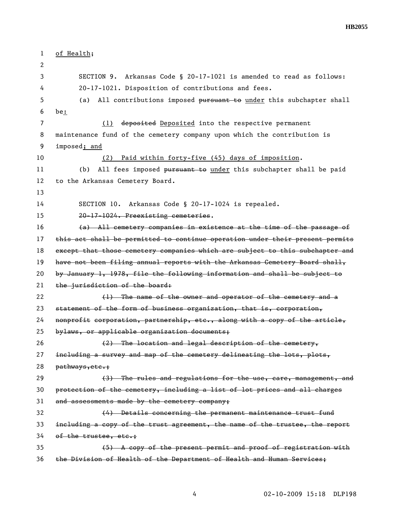**HB2055** 

| $\mathbf{1}$   | of Health;                                                                    |
|----------------|-------------------------------------------------------------------------------|
| 2              |                                                                               |
| 3              | Arkansas Code § 20-17-1021 is amended to read as follows:<br>SECTION 9.       |
| 4              | 20-17-1021. Disposition of contributions and fees.                            |
| 5              | All contributions imposed pursuant to under this subchapter shall<br>(a)      |
| 6              | be:                                                                           |
| $\overline{7}$ | (1) deposited Deposited into the respective permanent                         |
| 8              | maintenance fund of the cemetery company upon which the contribution is       |
| 9              | imposed; and                                                                  |
| 10             | Paid within forty-five (45) days of imposition.<br>(2)                        |
| 11             | All fees imposed pursuant to under this subchapter shall be paid<br>(b)       |
| 12             | to the Arkansas Cemetery Board.                                               |
| 13             |                                                                               |
| 14             | SECTION 10. Arkansas Code § 20-17-1024 is repealed.                           |
| 15             | 20-17-1024. Preexisting cemeteries.                                           |
| 16             | (a) All cemetery companies in existence at the time of the passage of         |
| 17             | this act shall be permitted to continue operation under their present permits |
| 18             | except that those cemetery companies which are subject to this subchapter and |
| 19             | have not been filing annual reports with the Arkansas Cemetery Board shall,   |
| 20             | by January 1, 1978, file the following information and shall be subject to    |
| 21             | the jurisdiction of the board:                                                |
| 22             | (1) The name of the owner and operator of the cemetery and a                  |
| 23             | statement of the form of business organization, that is, corporation,         |
| 24             | nonprofit corporation, partnership, etc., along with a copy of the article,   |
| 25             | bylaws, or applicable organization documents;                                 |
| 26             | (2) The location and legal description of the cemetery,                       |
| 27             | including a survey and map of the cemetery delineating the lots, plots,       |
| 28             | pathways, etc.;                                                               |
| 29             | (3) The rules and regulations for the use, care, management, and              |
| 30             | protection of the cemetery, including a list of lot prices and all charges    |
| 31             | and assessments made by the cemetery company;                                 |
| 32             | (4) Details concerning the permanent maintenance trust fund                   |
| 33             | including a copy of the trust agreement, the name of the trustee, the report  |
| 34             | of the trustee, etc.;                                                         |
| 35             | (5) A copy of the present permit and proof of registration with               |
| 36             | the Division of Health of the Department of Health and Human Services;        |